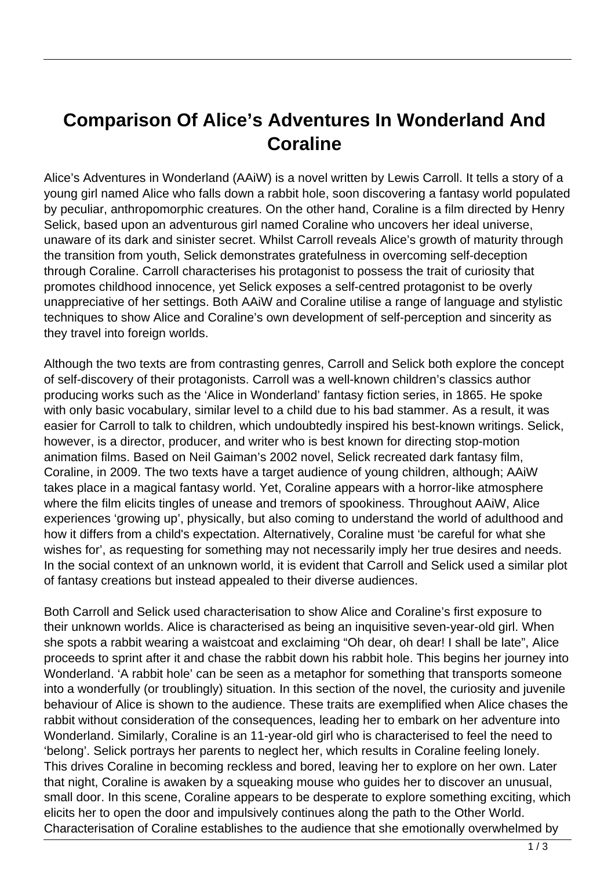## **Comparison Of Alice's Adventures In Wonderland And Coraline**

Alice's Adventures in Wonderland (AAiW) is a novel written by Lewis Carroll. It tells a story of a young girl named Alice who falls down a rabbit hole, soon discovering a fantasy world populated by peculiar, anthropomorphic creatures. On the other hand, Coraline is a film directed by Henry Selick, based upon an adventurous girl named Coraline who uncovers her ideal universe, unaware of its dark and sinister secret. Whilst Carroll reveals Alice's growth of maturity through the transition from youth, Selick demonstrates gratefulness in overcoming self-deception through Coraline. Carroll characterises his protagonist to possess the trait of curiosity that promotes childhood innocence, yet Selick exposes a self-centred protagonist to be overly unappreciative of her settings. Both AAiW and Coraline utilise a range of language and stylistic techniques to show Alice and Coraline's own development of self-perception and sincerity as they travel into foreign worlds.

Although the two texts are from contrasting genres, Carroll and Selick both explore the concept of self-discovery of their protagonists. Carroll was a well-known children's classics author producing works such as the 'Alice in Wonderland' fantasy fiction series, in 1865. He spoke with only basic vocabulary, similar level to a child due to his bad stammer. As a result, it was easier for Carroll to talk to children, which undoubtedly inspired his best-known writings. Selick, however, is a director, producer, and writer who is best known for directing stop-motion animation films. Based on Neil Gaiman's 2002 novel, Selick recreated dark fantasy film, Coraline, in 2009. The two texts have a target audience of young children, although; AAiW takes place in a magical fantasy world. Yet, Coraline appears with a horror-like atmosphere where the film elicits tingles of unease and tremors of spookiness. Throughout AAiW, Alice experiences 'growing up', physically, but also coming to understand the world of adulthood and how it differs from a child's expectation. Alternatively, Coraline must 'be careful for what she wishes for', as requesting for something may not necessarily imply her true desires and needs. In the social context of an unknown world, it is evident that Carroll and Selick used a similar plot of fantasy creations but instead appealed to their diverse audiences.

Both Carroll and Selick used characterisation to show Alice and Coraline's first exposure to their unknown worlds. Alice is characterised as being an inquisitive seven-year-old girl. When she spots a rabbit wearing a waistcoat and exclaiming "Oh dear, oh dear! I shall be late", Alice proceeds to sprint after it and chase the rabbit down his rabbit hole. This begins her journey into Wonderland. 'A rabbit hole' can be seen as a metaphor for something that transports someone into a wonderfully (or troublingly) situation. In this section of the novel, the curiosity and juvenile behaviour of Alice is shown to the audience. These traits are exemplified when Alice chases the rabbit without consideration of the consequences, leading her to embark on her adventure into Wonderland. Similarly, Coraline is an 11-year-old girl who is characterised to feel the need to 'belong'. Selick portrays her parents to neglect her, which results in Coraline feeling lonely. This drives Coraline in becoming reckless and bored, leaving her to explore on her own. Later that night, Coraline is awaken by a squeaking mouse who guides her to discover an unusual, small door. In this scene, Coraline appears to be desperate to explore something exciting, which elicits her to open the door and impulsively continues along the path to the Other World. Characterisation of Coraline establishes to the audience that she emotionally overwhelmed by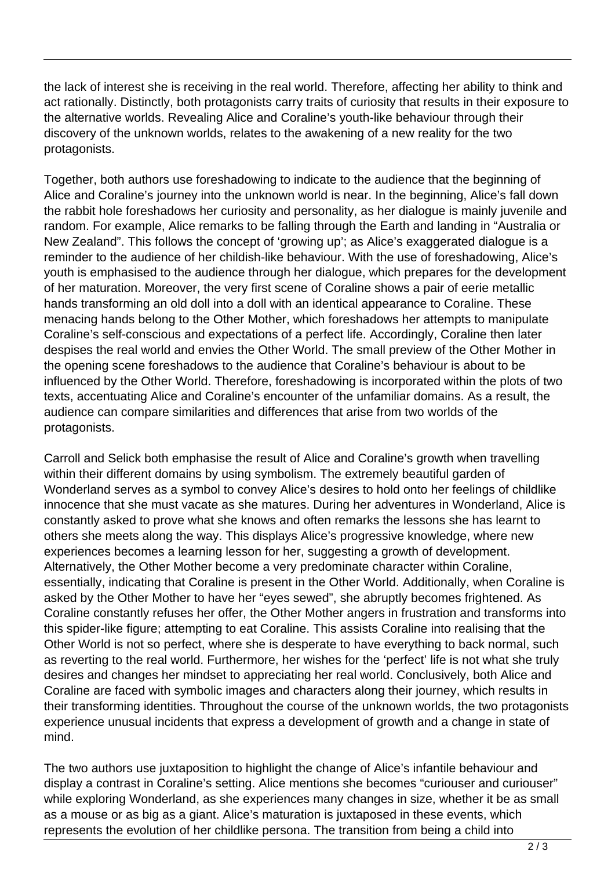the lack of interest she is receiving in the real world. Therefore, affecting her ability to think and act rationally. Distinctly, both protagonists carry traits of curiosity that results in their exposure to the alternative worlds. Revealing Alice and Coraline's youth-like behaviour through their discovery of the unknown worlds, relates to the awakening of a new reality for the two protagonists.

Together, both authors use foreshadowing to indicate to the audience that the beginning of Alice and Coraline's journey into the unknown world is near. In the beginning, Alice's fall down the rabbit hole foreshadows her curiosity and personality, as her dialogue is mainly juvenile and random. For example, Alice remarks to be falling through the Earth and landing in "Australia or New Zealand". This follows the concept of 'growing up'; as Alice's exaggerated dialogue is a reminder to the audience of her childish-like behaviour. With the use of foreshadowing, Alice's youth is emphasised to the audience through her dialogue, which prepares for the development of her maturation. Moreover, the very first scene of Coraline shows a pair of eerie metallic hands transforming an old doll into a doll with an identical appearance to Coraline. These menacing hands belong to the Other Mother, which foreshadows her attempts to manipulate Coraline's self-conscious and expectations of a perfect life. Accordingly, Coraline then later despises the real world and envies the Other World. The small preview of the Other Mother in the opening scene foreshadows to the audience that Coraline's behaviour is about to be influenced by the Other World. Therefore, foreshadowing is incorporated within the plots of two texts, accentuating Alice and Coraline's encounter of the unfamiliar domains. As a result, the audience can compare similarities and differences that arise from two worlds of the protagonists.

Carroll and Selick both emphasise the result of Alice and Coraline's growth when travelling within their different domains by using symbolism. The extremely beautiful garden of Wonderland serves as a symbol to convey Alice's desires to hold onto her feelings of childlike innocence that she must vacate as she matures. During her adventures in Wonderland, Alice is constantly asked to prove what she knows and often remarks the lessons she has learnt to others she meets along the way. This displays Alice's progressive knowledge, where new experiences becomes a learning lesson for her, suggesting a growth of development. Alternatively, the Other Mother become a very predominate character within Coraline, essentially, indicating that Coraline is present in the Other World. Additionally, when Coraline is asked by the Other Mother to have her "eyes sewed", she abruptly becomes frightened. As Coraline constantly refuses her offer, the Other Mother angers in frustration and transforms into this spider-like figure; attempting to eat Coraline. This assists Coraline into realising that the Other World is not so perfect, where she is desperate to have everything to back normal, such as reverting to the real world. Furthermore, her wishes for the 'perfect' life is not what she truly desires and changes her mindset to appreciating her real world. Conclusively, both Alice and Coraline are faced with symbolic images and characters along their journey, which results in their transforming identities. Throughout the course of the unknown worlds, the two protagonists experience unusual incidents that express a development of growth and a change in state of mind.

The two authors use juxtaposition to highlight the change of Alice's infantile behaviour and display a contrast in Coraline's setting. Alice mentions she becomes "curiouser and curiouser" while exploring Wonderland, as she experiences many changes in size, whether it be as small as a mouse or as big as a giant. Alice's maturation is juxtaposed in these events, which represents the evolution of her childlike persona. The transition from being a child into